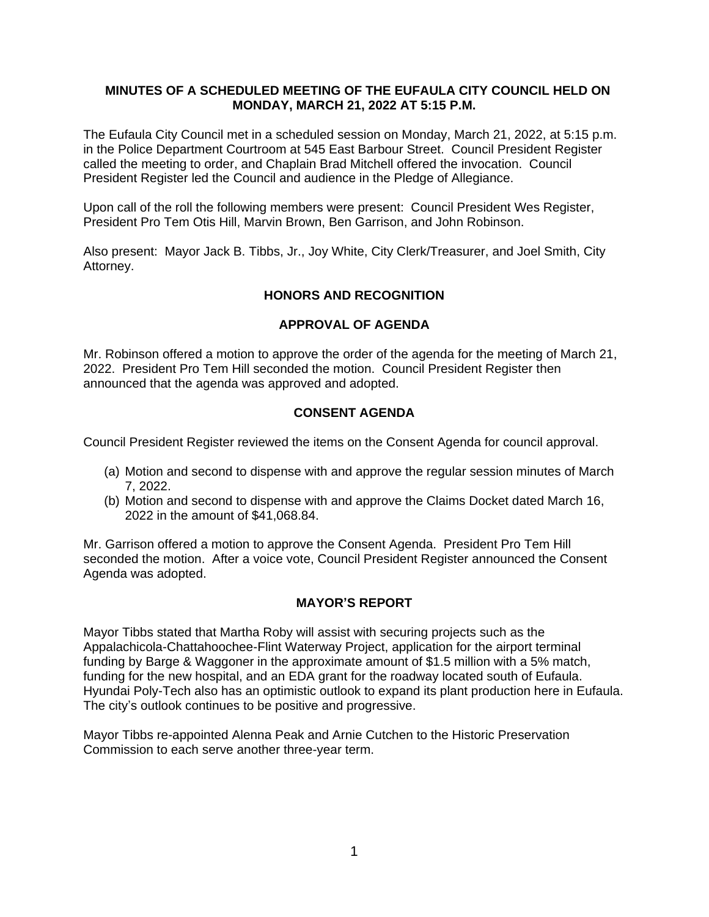### **MINUTES OF A SCHEDULED MEETING OF THE EUFAULA CITY COUNCIL HELD ON MONDAY, MARCH 21, 2022 AT 5:15 P.M.**

The Eufaula City Council met in a scheduled session on Monday, March 21, 2022, at 5:15 p.m. in the Police Department Courtroom at 545 East Barbour Street. Council President Register called the meeting to order, and Chaplain Brad Mitchell offered the invocation. Council President Register led the Council and audience in the Pledge of Allegiance.

Upon call of the roll the following members were present: Council President Wes Register, President Pro Tem Otis Hill, Marvin Brown, Ben Garrison, and John Robinson.

Also present: Mayor Jack B. Tibbs, Jr., Joy White, City Clerk/Treasurer, and Joel Smith, City Attorney.

# **HONORS AND RECOGNITION**

### **APPROVAL OF AGENDA**

Mr. Robinson offered a motion to approve the order of the agenda for the meeting of March 21, 2022. President Pro Tem Hill seconded the motion. Council President Register then announced that the agenda was approved and adopted.

### **CONSENT AGENDA**

Council President Register reviewed the items on the Consent Agenda for council approval.

- (a) Motion and second to dispense with and approve the regular session minutes of March 7, 2022.
- (b) Motion and second to dispense with and approve the Claims Docket dated March 16, 2022 in the amount of \$41,068.84.

Mr. Garrison offered a motion to approve the Consent Agenda. President Pro Tem Hill seconded the motion. After a voice vote, Council President Register announced the Consent Agenda was adopted.

#### **MAYOR'S REPORT**

Mayor Tibbs stated that Martha Roby will assist with securing projects such as the Appalachicola-Chattahoochee-Flint Waterway Project, application for the airport terminal funding by Barge & Waggoner in the approximate amount of \$1.5 million with a 5% match, funding for the new hospital, and an EDA grant for the roadway located south of Eufaula. Hyundai Poly-Tech also has an optimistic outlook to expand its plant production here in Eufaula. The city's outlook continues to be positive and progressive.

Mayor Tibbs re-appointed Alenna Peak and Arnie Cutchen to the Historic Preservation Commission to each serve another three-year term.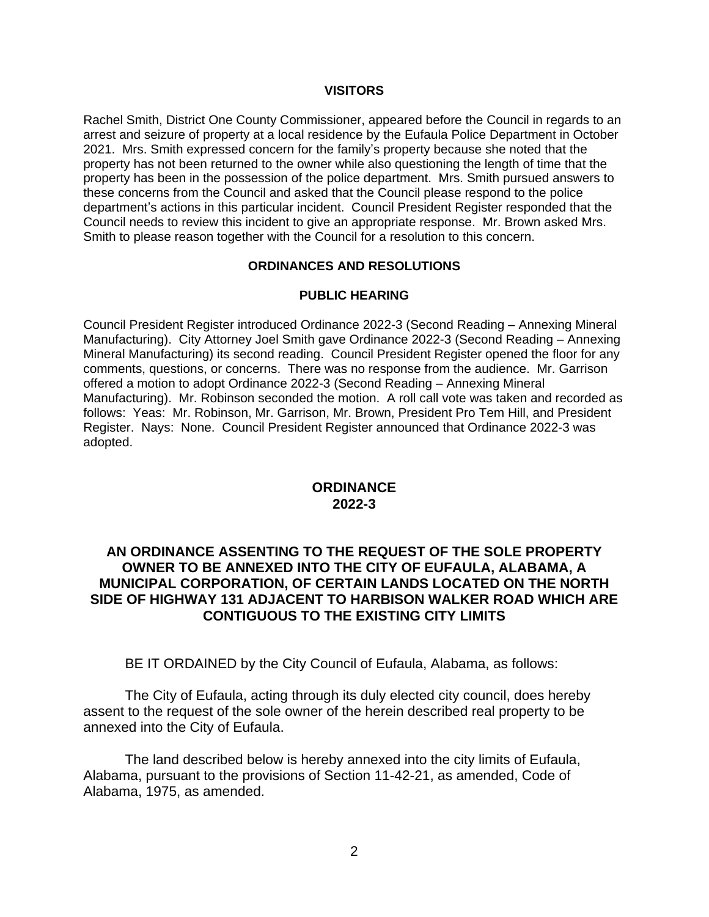### **VISITORS**

Rachel Smith, District One County Commissioner, appeared before the Council in regards to an arrest and seizure of property at a local residence by the Eufaula Police Department in October 2021. Mrs. Smith expressed concern for the family's property because she noted that the property has not been returned to the owner while also questioning the length of time that the property has been in the possession of the police department. Mrs. Smith pursued answers to these concerns from the Council and asked that the Council please respond to the police department's actions in this particular incident. Council President Register responded that the Council needs to review this incident to give an appropriate response. Mr. Brown asked Mrs. Smith to please reason together with the Council for a resolution to this concern.

### **ORDINANCES AND RESOLUTIONS**

### **PUBLIC HEARING**

Council President Register introduced Ordinance 2022-3 (Second Reading – Annexing Mineral Manufacturing). City Attorney Joel Smith gave Ordinance 2022-3 (Second Reading – Annexing Mineral Manufacturing) its second reading. Council President Register opened the floor for any comments, questions, or concerns. There was no response from the audience. Mr. Garrison offered a motion to adopt Ordinance 2022-3 (Second Reading – Annexing Mineral Manufacturing). Mr. Robinson seconded the motion. A roll call vote was taken and recorded as follows: Yeas: Mr. Robinson, Mr. Garrison, Mr. Brown, President Pro Tem Hill, and President Register. Nays: None. Council President Register announced that Ordinance 2022-3 was adopted.

# **ORDINANCE 2022-3**

# **AN ORDINANCE ASSENTING TO THE REQUEST OF THE SOLE PROPERTY OWNER TO BE ANNEXED INTO THE CITY OF EUFAULA, ALABAMA, A MUNICIPAL CORPORATION, OF CERTAIN LANDS LOCATED ON THE NORTH SIDE OF HIGHWAY 131 ADJACENT TO HARBISON WALKER ROAD WHICH ARE CONTIGUOUS TO THE EXISTING CITY LIMITS**

BE IT ORDAINED by the City Council of Eufaula, Alabama, as follows:

The City of Eufaula, acting through its duly elected city council, does hereby assent to the request of the sole owner of the herein described real property to be annexed into the City of Eufaula.

The land described below is hereby annexed into the city limits of Eufaula, Alabama, pursuant to the provisions of Section 11-42-21, as amended, Code of Alabama, 1975, as amended.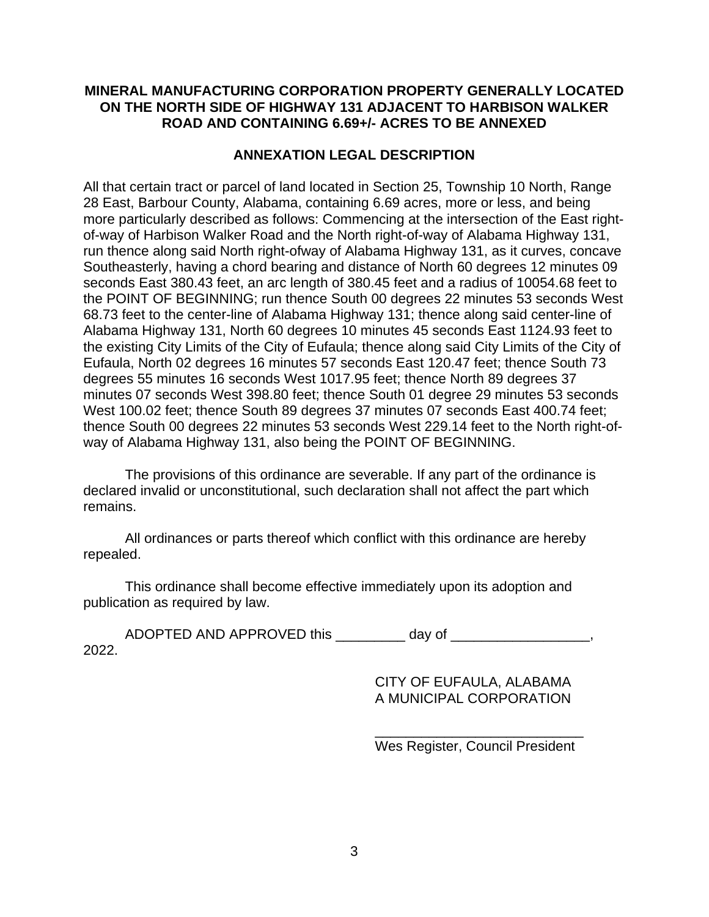# **MINERAL MANUFACTURING CORPORATION PROPERTY GENERALLY LOCATED ON THE NORTH SIDE OF HIGHWAY 131 ADJACENT TO HARBISON WALKER ROAD AND CONTAINING 6.69+/- ACRES TO BE ANNEXED**

# **ANNEXATION LEGAL DESCRIPTION**

All that certain tract or parcel of land located in Section 25, Township 10 North, Range 28 East, Barbour County, Alabama, containing 6.69 acres, more or less, and being more particularly described as follows: Commencing at the intersection of the East rightof-way of Harbison Walker Road and the North right-of-way of Alabama Highway 131, run thence along said North right-ofway of Alabama Highway 131, as it curves, concave Southeasterly, having a chord bearing and distance of North 60 degrees 12 minutes 09 seconds East 380.43 feet, an arc length of 380.45 feet and a radius of 10054.68 feet to the POINT OF BEGINNING; run thence South 00 degrees 22 minutes 53 seconds West 68.73 feet to the center-line of Alabama Highway 131; thence along said center-line of Alabama Highway 131, North 60 degrees 10 minutes 45 seconds East 1124.93 feet to the existing City Limits of the City of Eufaula; thence along said City Limits of the City of Eufaula, North 02 degrees 16 minutes 57 seconds East 120.47 feet; thence South 73 degrees 55 minutes 16 seconds West 1017.95 feet; thence North 89 degrees 37 minutes 07 seconds West 398.80 feet; thence South 01 degree 29 minutes 53 seconds West 100.02 feet; thence South 89 degrees 37 minutes 07 seconds East 400.74 feet; thence South 00 degrees 22 minutes 53 seconds West 229.14 feet to the North right-ofway of Alabama Highway 131, also being the POINT OF BEGINNING.

The provisions of this ordinance are severable. If any part of the ordinance is declared invalid or unconstitutional, such declaration shall not affect the part which remains.

All ordinances or parts thereof which conflict with this ordinance are hereby repealed.

This ordinance shall become effective immediately upon its adoption and publication as required by law.

ADOPTED AND APPROVED this example of day of  $\sim$ 2022.

> CITY OF EUFAULA, ALABAMA A MUNICIPAL CORPORATION

\_\_\_\_\_\_\_\_\_\_\_\_\_\_\_\_\_\_\_\_\_\_\_\_\_\_\_ Wes Register, Council President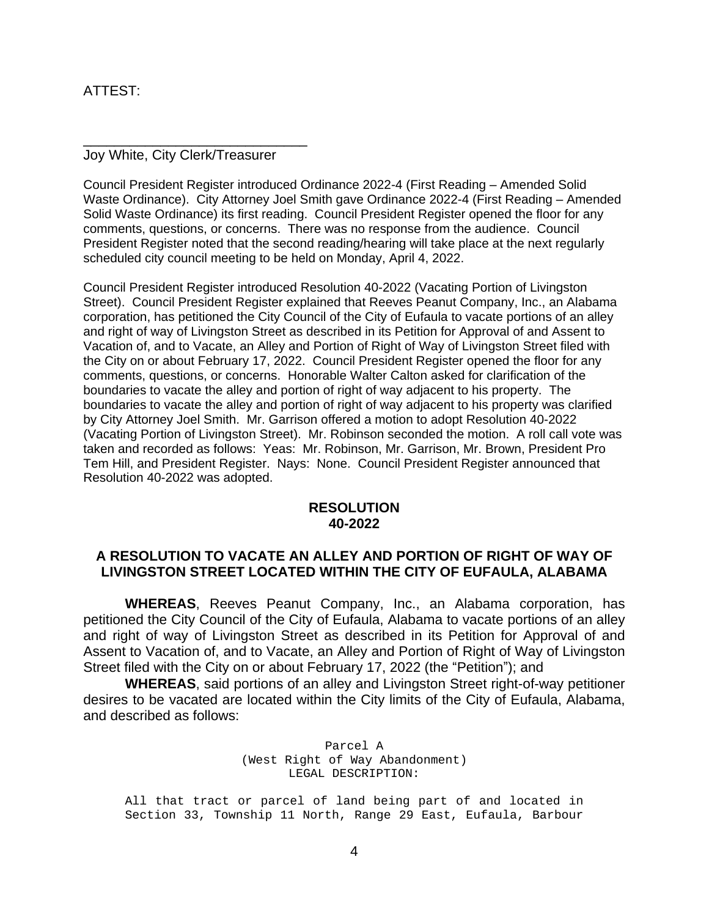# ATTEST:

#### Joy White, City Clerk/Treasurer

\_\_\_\_\_\_\_\_\_\_\_\_\_\_\_\_\_\_\_\_\_\_\_\_\_\_\_\_\_

Council President Register introduced Ordinance 2022-4 (First Reading – Amended Solid Waste Ordinance). City Attorney Joel Smith gave Ordinance 2022-4 (First Reading – Amended Solid Waste Ordinance) its first reading. Council President Register opened the floor for any comments, questions, or concerns. There was no response from the audience. Council President Register noted that the second reading/hearing will take place at the next regularly scheduled city council meeting to be held on Monday, April 4, 2022.

Council President Register introduced Resolution 40-2022 (Vacating Portion of Livingston Street). Council President Register explained that Reeves Peanut Company, Inc., an Alabama corporation, has petitioned the City Council of the City of Eufaula to vacate portions of an alley and right of way of Livingston Street as described in its Petition for Approval of and Assent to Vacation of, and to Vacate, an Alley and Portion of Right of Way of Livingston Street filed with the City on or about February 17, 2022. Council President Register opened the floor for any comments, questions, or concerns. Honorable Walter Calton asked for clarification of the boundaries to vacate the alley and portion of right of way adjacent to his property. The boundaries to vacate the alley and portion of right of way adjacent to his property was clarified by City Attorney Joel Smith. Mr. Garrison offered a motion to adopt Resolution 40-2022 (Vacating Portion of Livingston Street). Mr. Robinson seconded the motion. A roll call vote was taken and recorded as follows: Yeas: Mr. Robinson, Mr. Garrison, Mr. Brown, President Pro Tem Hill, and President Register. Nays: None. Council President Register announced that Resolution 40-2022 was adopted.

# **RESOLUTION 40-2022**

# **A RESOLUTION TO VACATE AN ALLEY AND PORTION OF RIGHT OF WAY OF LIVINGSTON STREET LOCATED WITHIN THE CITY OF EUFAULA, ALABAMA**

**WHEREAS**, Reeves Peanut Company, Inc., an Alabama corporation, has petitioned the City Council of the City of Eufaula, Alabama to vacate portions of an alley and right of way of Livingston Street as described in its Petition for Approval of and Assent to Vacation of, and to Vacate, an Alley and Portion of Right of Way of Livingston Street filed with the City on or about February 17, 2022 (the "Petition"); and

**WHEREAS**, said portions of an alley and Livingston Street right-of-way petitioner desires to be vacated are located within the City limits of the City of Eufaula, Alabama, and described as follows:

> Parcel A (West Right of Way Abandonment) LEGAL DESCRIPTION:

All that tract or parcel of land being part of and located in Section 33, Township 11 North, Range 29 East, Eufaula, Barbour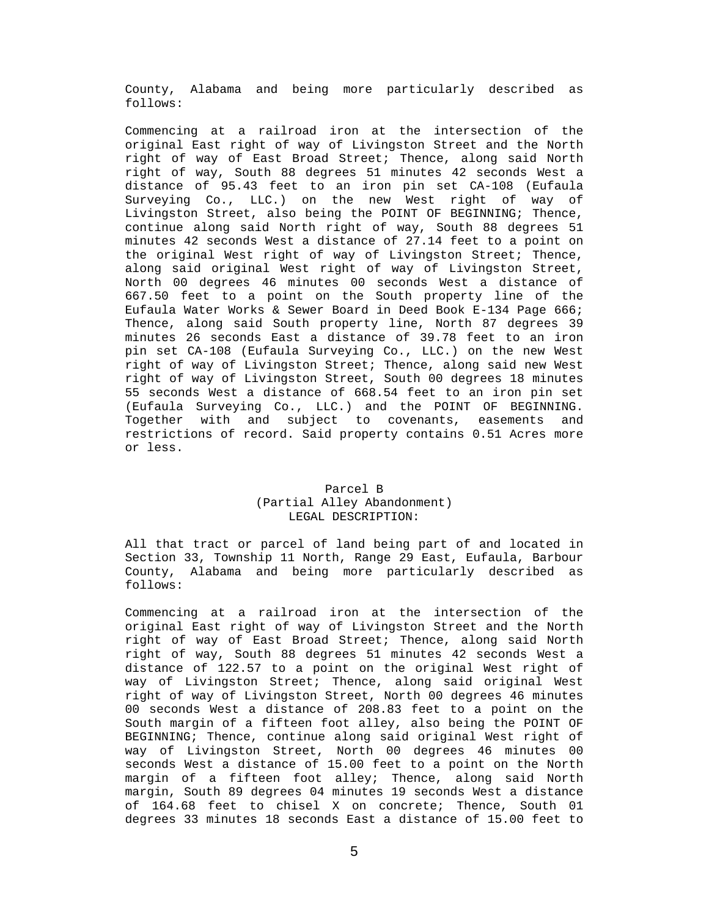County, Alabama and being more particularly described as follows:

Commencing at a railroad iron at the intersection of the original East right of way of Livingston Street and the North right of way of East Broad Street; Thence, along said North right of way, South 88 degrees 51 minutes 42 seconds West a distance of 95.43 feet to an iron pin set CA-108 (Eufaula Surveying Co., LLC.) on the new West right of way of Livingston Street, also being the POINT OF BEGINNING; Thence, continue along said North right of way, South 88 degrees 51 minutes 42 seconds West a distance of 27.14 feet to a point on the original West right of way of Livingston Street; Thence, along said original West right of way of Livingston Street, North 00 degrees 46 minutes 00 seconds West a distance of 667.50 feet to a point on the South property line of the Eufaula Water Works & Sewer Board in Deed Book E-134 Page 666; Thence, along said South property line, North 87 degrees 39 minutes 26 seconds East a distance of 39.78 feet to an iron pin set CA-108 (Eufaula Surveying Co., LLC.) on the new West right of way of Livingston Street; Thence, along said new West right of way of Livingston Street, South 00 degrees 18 minutes 55 seconds West a distance of 668.54 feet to an iron pin set (Eufaula Surveying Co., LLC.) and the POINT OF BEGINNING. Together with and subject to covenants, easements and restrictions of record. Said property contains 0.51 Acres more or less.

#### Parcel B (Partial Alley Abandonment) LEGAL DESCRIPTION:

All that tract or parcel of land being part of and located in Section 33, Township 11 North, Range 29 East, Eufaula, Barbour County, Alabama and being more particularly described as follows:

Commencing at a railroad iron at the intersection of the original East right of way of Livingston Street and the North right of way of East Broad Street; Thence, along said North right of way, South 88 degrees 51 minutes 42 seconds West a distance of 122.57 to a point on the original West right of way of Livingston Street; Thence, along said original West right of way of Livingston Street, North 00 degrees 46 minutes 00 seconds West a distance of 208.83 feet to a point on the South margin of a fifteen foot alley, also being the POINT OF BEGINNING; Thence, continue along said original West right of way of Livingston Street, North 00 degrees 46 minutes 00 seconds West a distance of 15.00 feet to a point on the North margin of a fifteen foot alley; Thence, along said North margin, South 89 degrees 04 minutes 19 seconds West a distance of 164.68 feet to chisel X on concrete; Thence, South 01 degrees 33 minutes 18 seconds East a distance of 15.00 feet to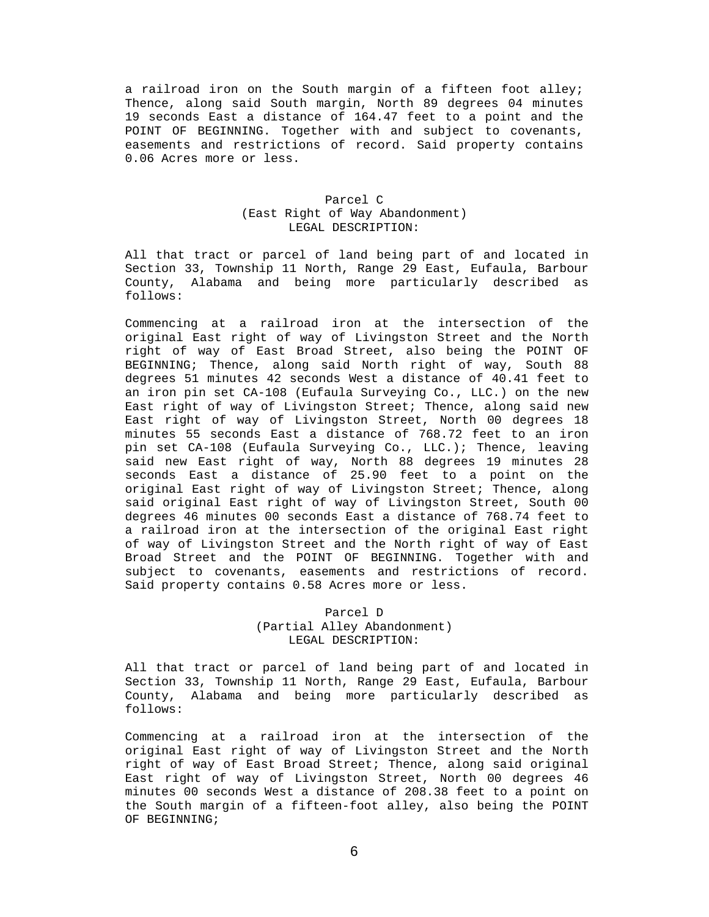a railroad iron on the South margin of a fifteen foot alley; Thence, along said South margin, North 89 degrees 04 minutes 19 seconds East a distance of 164.47 feet to a point and the POINT OF BEGINNING. Together with and subject to covenants, easements and restrictions of record. Said property contains 0.06 Acres more or less.

#### Parcel C (East Right of Way Abandonment) LEGAL DESCRIPTION:

All that tract or parcel of land being part of and located in Section 33, Township 11 North, Range 29 East, Eufaula, Barbour County, Alabama and being more particularly described as follows:

Commencing at a railroad iron at the intersection of the original East right of way of Livingston Street and the North right of way of East Broad Street, also being the POINT OF BEGINNING; Thence, along said North right of way, South 88 degrees 51 minutes 42 seconds West a distance of 40.41 feet to an iron pin set CA-108 (Eufaula Surveying Co., LLC.) on the new East right of way of Livingston Street; Thence, along said new East right of way of Livingston Street, North 00 degrees 18 minutes 55 seconds East a distance of 768.72 feet to an iron pin set CA-108 (Eufaula Surveying Co., LLC.); Thence, leaving said new East right of way, North 88 degrees 19 minutes 28 seconds East a distance of 25.90 feet to a point on the original East right of way of Livingston Street; Thence, along said original East right of way of Livingston Street, South 00 degrees 46 minutes 00 seconds East a distance of 768.74 feet to a railroad iron at the intersection of the original East right of way of Livingston Street and the North right of way of East Broad Street and the POINT OF BEGINNING. Together with and subject to covenants, easements and restrictions of record. Said property contains 0.58 Acres more or less.

#### Parcel D (Partial Alley Abandonment) LEGAL DESCRIPTION:

All that tract or parcel of land being part of and located in Section 33, Township 11 North, Range 29 East, Eufaula, Barbour County, Alabama and being more particularly described as follows:

Commencing at a railroad iron at the intersection of the original East right of way of Livingston Street and the North right of way of East Broad Street; Thence, along said original East right of way of Livingston Street, North 00 degrees 46 minutes 00 seconds West a distance of 208.38 feet to a point on the South margin of a fifteen-foot alley, also being the POINT OF BEGINNING;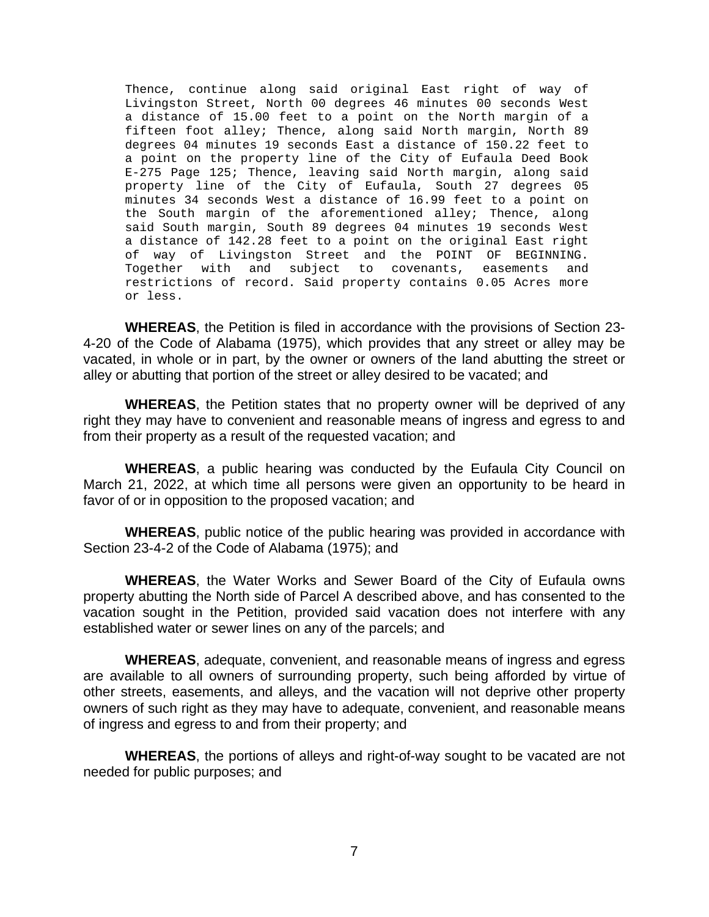Thence, continue along said original East right of way of Livingston Street, North 00 degrees 46 minutes 00 seconds West a distance of 15.00 feet to a point on the North margin of a fifteen foot alley; Thence, along said North margin, North 89 degrees 04 minutes 19 seconds East a distance of 150.22 feet to a point on the property line of the City of Eufaula Deed Book E-275 Page 125; Thence, leaving said North margin, along said property line of the City of Eufaula, South 27 degrees 05 minutes 34 seconds West a distance of 16.99 feet to a point on the South margin of the aforementioned alley; Thence, along said South margin, South 89 degrees 04 minutes 19 seconds West a distance of 142.28 feet to a point on the original East right of way of Livingston Street and the POINT OF BEGINNING. Together with and subject to covenants, easements and restrictions of record. Said property contains 0.05 Acres more or less.

**WHEREAS**, the Petition is filed in accordance with the provisions of Section 23- 4-20 of the Code of Alabama (1975), which provides that any street or alley may be vacated, in whole or in part, by the owner or owners of the land abutting the street or alley or abutting that portion of the street or alley desired to be vacated; and

**WHEREAS**, the Petition states that no property owner will be deprived of any right they may have to convenient and reasonable means of ingress and egress to and from their property as a result of the requested vacation; and

**WHEREAS**, a public hearing was conducted by the Eufaula City Council on March 21, 2022, at which time all persons were given an opportunity to be heard in favor of or in opposition to the proposed vacation; and

**WHEREAS**, public notice of the public hearing was provided in accordance with Section 23-4-2 of the Code of Alabama (1975); and

**WHEREAS**, the Water Works and Sewer Board of the City of Eufaula owns property abutting the North side of Parcel A described above, and has consented to the vacation sought in the Petition, provided said vacation does not interfere with any established water or sewer lines on any of the parcels; and

**WHEREAS**, adequate, convenient, and reasonable means of ingress and egress are available to all owners of surrounding property, such being afforded by virtue of other streets, easements, and alleys, and the vacation will not deprive other property owners of such right as they may have to adequate, convenient, and reasonable means of ingress and egress to and from their property; and

**WHEREAS**, the portions of alleys and right-of-way sought to be vacated are not needed for public purposes; and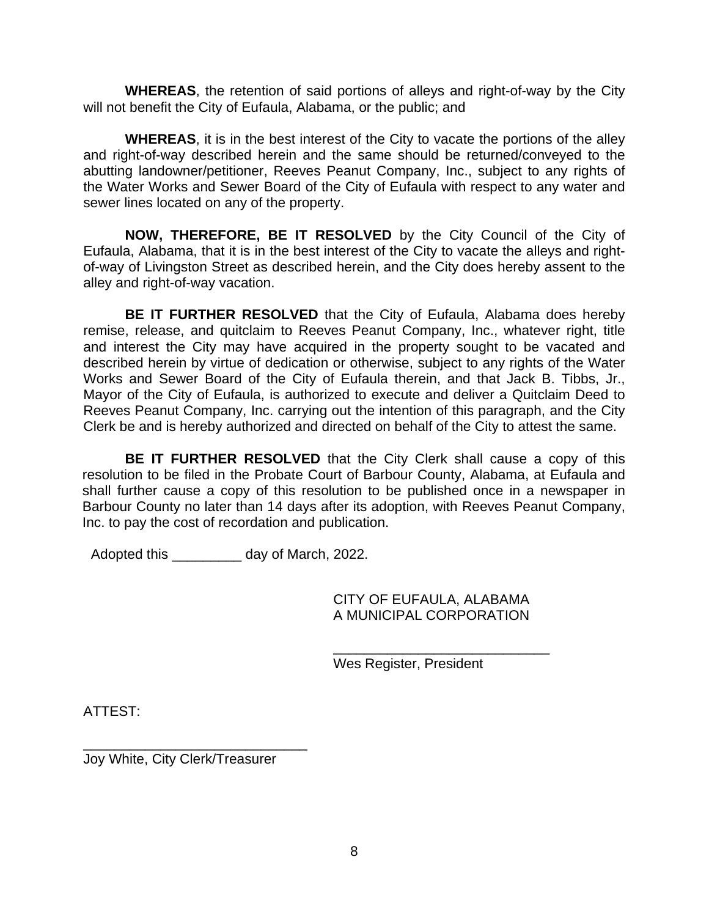**WHEREAS**, the retention of said portions of alleys and right-of-way by the City will not benefit the City of Eufaula, Alabama, or the public; and

**WHEREAS**, it is in the best interest of the City to vacate the portions of the alley and right-of-way described herein and the same should be returned/conveyed to the abutting landowner/petitioner, Reeves Peanut Company, Inc., subject to any rights of the Water Works and Sewer Board of the City of Eufaula with respect to any water and sewer lines located on any of the property.

**NOW, THEREFORE, BE IT RESOLVED** by the City Council of the City of Eufaula, Alabama, that it is in the best interest of the City to vacate the alleys and rightof-way of Livingston Street as described herein, and the City does hereby assent to the alley and right-of-way vacation.

**BE IT FURTHER RESOLVED** that the City of Eufaula, Alabama does hereby remise, release, and quitclaim to Reeves Peanut Company, Inc., whatever right, title and interest the City may have acquired in the property sought to be vacated and described herein by virtue of dedication or otherwise, subject to any rights of the Water Works and Sewer Board of the City of Eufaula therein, and that Jack B. Tibbs, Jr., Mayor of the City of Eufaula, is authorized to execute and deliver a Quitclaim Deed to Reeves Peanut Company, Inc. carrying out the intention of this paragraph, and the City Clerk be and is hereby authorized and directed on behalf of the City to attest the same.

**BE IT FURTHER RESOLVED** that the City Clerk shall cause a copy of this resolution to be filed in the Probate Court of Barbour County, Alabama, at Eufaula and shall further cause a copy of this resolution to be published once in a newspaper in Barbour County no later than 14 days after its adoption, with Reeves Peanut Company, Inc. to pay the cost of recordation and publication.

Adopted this day of March, 2022.

CITY OF EUFAULA, ALABAMA A MUNICIPAL CORPORATION

\_\_\_\_\_\_\_\_\_\_\_\_\_\_\_\_\_\_\_\_\_\_\_\_\_\_\_\_

Wes Register, President

ATTEST:

\_\_\_\_\_\_\_\_\_\_\_\_\_\_\_\_\_\_\_\_\_\_\_\_\_\_\_\_\_ Joy White, City Clerk/Treasurer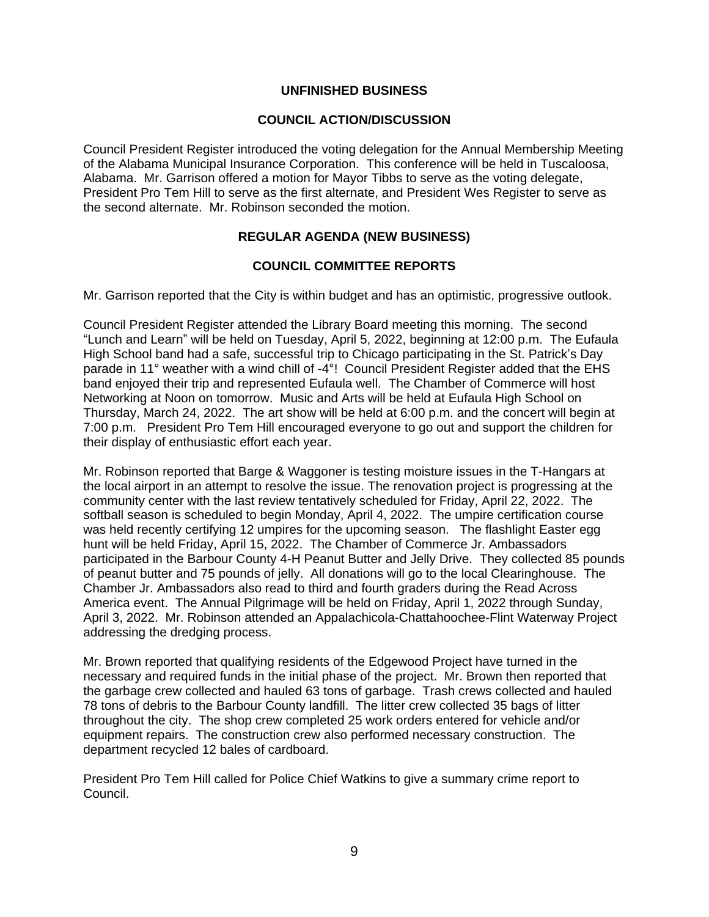### **UNFINISHED BUSINESS**

### **COUNCIL ACTION/DISCUSSION**

Council President Register introduced the voting delegation for the Annual Membership Meeting of the Alabama Municipal Insurance Corporation. This conference will be held in Tuscaloosa, Alabama. Mr. Garrison offered a motion for Mayor Tibbs to serve as the voting delegate, President Pro Tem Hill to serve as the first alternate, and President Wes Register to serve as the second alternate. Mr. Robinson seconded the motion.

# **REGULAR AGENDA (NEW BUSINESS)**

# **COUNCIL COMMITTEE REPORTS**

Mr. Garrison reported that the City is within budget and has an optimistic, progressive outlook.

Council President Register attended the Library Board meeting this morning. The second "Lunch and Learn" will be held on Tuesday, April 5, 2022, beginning at 12:00 p.m. The Eufaula High School band had a safe, successful trip to Chicago participating in the St. Patrick's Day parade in 11° weather with a wind chill of -4°! Council President Register added that the EHS band enjoyed their trip and represented Eufaula well. The Chamber of Commerce will host Networking at Noon on tomorrow. Music and Arts will be held at Eufaula High School on Thursday, March 24, 2022. The art show will be held at 6:00 p.m. and the concert will begin at 7:00 p.m. President Pro Tem Hill encouraged everyone to go out and support the children for their display of enthusiastic effort each year.

Mr. Robinson reported that Barge & Waggoner is testing moisture issues in the T-Hangars at the local airport in an attempt to resolve the issue. The renovation project is progressing at the community center with the last review tentatively scheduled for Friday, April 22, 2022. The softball season is scheduled to begin Monday, April 4, 2022. The umpire certification course was held recently certifying 12 umpires for the upcoming season. The flashlight Easter egg hunt will be held Friday, April 15, 2022. The Chamber of Commerce Jr. Ambassadors participated in the Barbour County 4-H Peanut Butter and Jelly Drive. They collected 85 pounds of peanut butter and 75 pounds of jelly. All donations will go to the local Clearinghouse. The Chamber Jr. Ambassadors also read to third and fourth graders during the Read Across America event. The Annual Pilgrimage will be held on Friday, April 1, 2022 through Sunday, April 3, 2022. Mr. Robinson attended an Appalachicola-Chattahoochee-Flint Waterway Project addressing the dredging process.

Mr. Brown reported that qualifying residents of the Edgewood Project have turned in the necessary and required funds in the initial phase of the project. Mr. Brown then reported that the garbage crew collected and hauled 63 tons of garbage. Trash crews collected and hauled 78 tons of debris to the Barbour County landfill. The litter crew collected 35 bags of litter throughout the city. The shop crew completed 25 work orders entered for vehicle and/or equipment repairs. The construction crew also performed necessary construction. The department recycled 12 bales of cardboard.

President Pro Tem Hill called for Police Chief Watkins to give a summary crime report to Council.